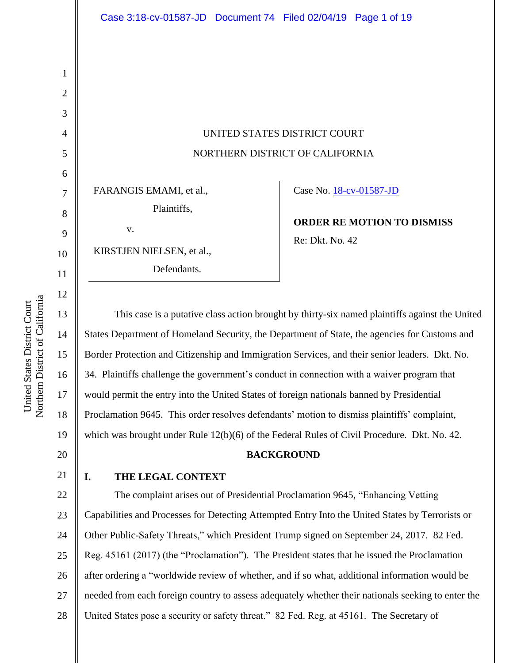# UNITED STATES DISTRICT COURT NORTHERN DISTRICT OF CALIFORNIA

FARANGIS EMAMI, et al., Plaintiffs, v.

KIRSTJEN NIELSEN, et al.,

Defendants.

Case No. [18-cv-01587-JD](https://ecf.cand.uscourts.gov/cgi-bin/DktRpt.pl?323833) 

**ORDER RE MOTION TO DISMISS** Re: Dkt. No. 42

This case is a putative class action brought by thirty-six named plaintiffs against the United States Department of Homeland Security, the Department of State, the agencies for Customs and Border Protection and Citizenship and Immigration Services, and their senior leaders. Dkt. No. 34. Plaintiffs challenge the government's conduct in connection with a waiver program that would permit the entry into the United States of foreign nationals banned by Presidential Proclamation 9645. This order resolves defendants' motion to dismiss plaintiffs' complaint, which was brought under Rule 12(b)(6) of the Federal Rules of Civil Procedure. Dkt. No. 42. **BACKGROUND I. THE LEGAL CONTEXT** The complaint arises out of Presidential Proclamation 9645, "Enhancing Vetting

23 24 25 26 27 28 Capabilities and Processes for Detecting Attempted Entry Into the United States by Terrorists or Other Public-Safety Threats," which President Trump signed on September 24, 2017. 82 Fed. Reg. 45161 (2017) (the "Proclamation"). The President states that he issued the Proclamation after ordering a "worldwide review of whether, and if so what, additional information would be needed from each foreign country to assess adequately whether their nationals seeking to enter the United States pose a security or safety threat." 82 Fed. Reg. at 45161. The Secretary of

1

2

3

4

5

6

7

8

9

10

11

12

13

14

15

16

17

18

19

20

21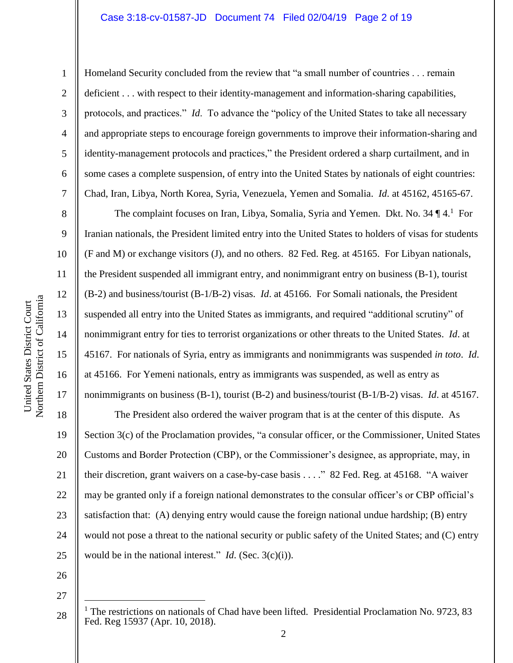#### Case 3:18-cv-01587-JD Document 74 Filed 02/04/19 Page 2 of 19

1

2

3

4

5

6

7

8

9

10

11

12

13

14

15

16

17

Homeland Security concluded from the review that "a small number of countries . . . remain deficient . . . with respect to their identity-management and information-sharing capabilities, protocols, and practices." *Id*. To advance the "policy of the United States to take all necessary and appropriate steps to encourage foreign governments to improve their information-sharing and identity-management protocols and practices," the President ordered a sharp curtailment, and in some cases a complete suspension, of entry into the United States by nationals of eight countries: Chad, Iran, Libya, North Korea, Syria, Venezuela, Yemen and Somalia. *Id*. at 45162, 45165-67.

The complaint focuses on Iran, Libya, Somalia, Syria and Yemen. Dkt. No. 34  $\P$  4.<sup>1</sup> For Iranian nationals, the President limited entry into the United States to holders of visas for students (F and M) or exchange visitors (J), and no others. 82 Fed. Reg. at 45165. For Libyan nationals, the President suspended all immigrant entry, and nonimmigrant entry on business (B-1), tourist (B-2) and business/tourist (B-1/B-2) visas. *Id*. at 45166. For Somali nationals, the President suspended all entry into the United States as immigrants, and required "additional scrutiny" of nonimmigrant entry for ties to terrorist organizations or other threats to the United States. *Id*. at 45167. For nationals of Syria, entry as immigrants and nonimmigrants was suspended *in toto*. *Id*. at 45166. For Yemeni nationals, entry as immigrants was suspended, as well as entry as nonimmigrants on business (B-1), tourist (B-2) and business/tourist (B-1/B-2) visas. *Id*. at 45167.

18 19 20 21 22 23 24 25 The President also ordered the waiver program that is at the center of this dispute. As Section 3(c) of the Proclamation provides, "a consular officer, or the Commissioner, United States Customs and Border Protection (CBP), or the Commissioner's designee, as appropriate, may, in their discretion, grant waivers on a case-by-case basis . . . ." 82 Fed. Reg. at 45168. "A waiver may be granted only if a foreign national demonstrates to the consular officer's or CBP official's satisfaction that: (A) denying entry would cause the foreign national undue hardship; (B) entry would not pose a threat to the national security or public safety of the United States; and (C) entry would be in the national interest." *Id*. (Sec. 3(c)(i)).

26

27

 $\overline{a}$ 

 $1$  The restrictions on nationals of Chad have been lifted. Presidential Proclamation No. 9723, 83 Fed. Reg 15937 (Apr. 10, 2018).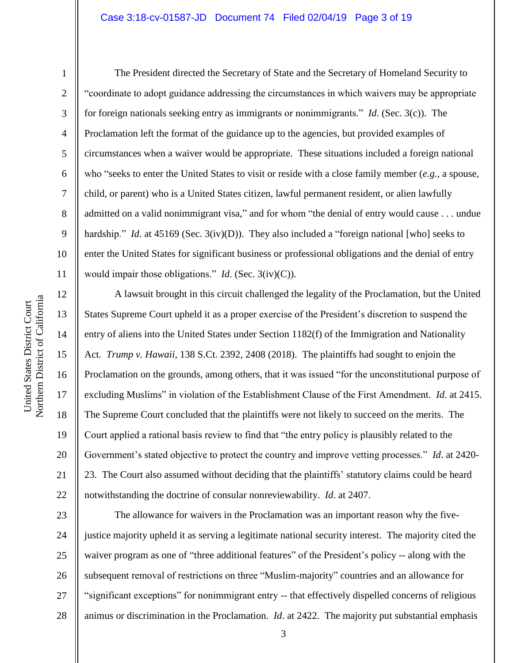1

2

3

4

5

6

7

8

9

10

11

12

13

14

15

16

17

18

19

20

21

22

The President directed the Secretary of State and the Secretary of Homeland Security to "coordinate to adopt guidance addressing the circumstances in which waivers may be appropriate for foreign nationals seeking entry as immigrants or nonimmigrants." *Id*. (Sec. 3(c)). The Proclamation left the format of the guidance up to the agencies, but provided examples of circumstances when a waiver would be appropriate. These situations included a foreign national who "seeks to enter the United States to visit or reside with a close family member (*e.g.*, a spouse, child, or parent) who is a United States citizen, lawful permanent resident, or alien lawfully admitted on a valid nonimmigrant visa," and for whom "the denial of entry would cause . . . undue hardship." *Id.* at 45169 (Sec. 3(iv)(D)). They also included a "foreign national [who] seeks to enter the United States for significant business or professional obligations and the denial of entry would impair those obligations." *Id*. (Sec. 3(iv)(C)).

A lawsuit brought in this circuit challenged the legality of the Proclamation, but the United States Supreme Court upheld it as a proper exercise of the President's discretion to suspend the entry of aliens into the United States under Section 1182(f) of the Immigration and Nationality Act. *Trump v. Hawaii*, 138 S.Ct. 2392, 2408 (2018). The plaintiffs had sought to enjoin the Proclamation on the grounds, among others, that it was issued "for the unconstitutional purpose of excluding Muslims" in violation of the Establishment Clause of the First Amendment. *Id*. at 2415. The Supreme Court concluded that the plaintiffs were not likely to succeed on the merits. The Court applied a rational basis review to find that "the entry policy is plausibly related to the Government's stated objective to protect the country and improve vetting processes." *Id*. at 2420- 23. The Court also assumed without deciding that the plaintiffs' statutory claims could be heard notwithstanding the doctrine of consular nonreviewability. *Id*. at 2407.

23 24 25 26 27 28 The allowance for waivers in the Proclamation was an important reason why the fivejustice majority upheld it as serving a legitimate national security interest. The majority cited the waiver program as one of "three additional features" of the President's policy -- along with the subsequent removal of restrictions on three "Muslim-majority" countries and an allowance for "significant exceptions" for nonimmigrant entry -- that effectively dispelled concerns of religious animus or discrimination in the Proclamation. *Id*. at 2422. The majority put substantial emphasis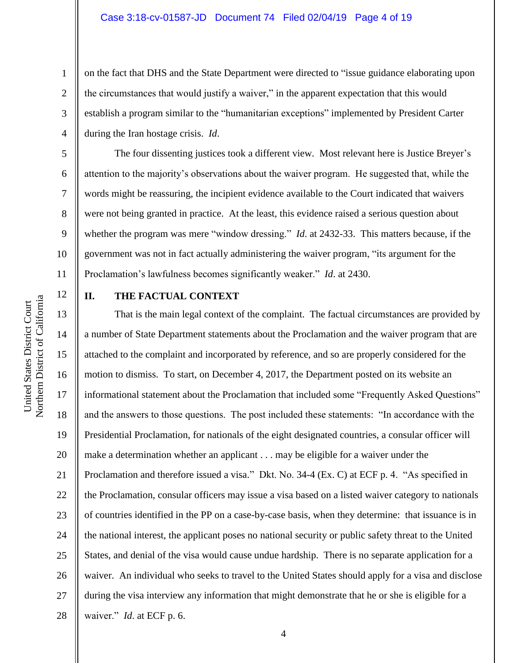on the fact that DHS and the State Department were directed to "issue guidance elaborating upon the circumstances that would justify a waiver," in the apparent expectation that this would establish a program similar to the "humanitarian exceptions" implemented by President Carter during the Iran hostage crisis. *Id*.

The four dissenting justices took a different view. Most relevant here is Justice Breyer's attention to the majority's observations about the waiver program. He suggested that, while the words might be reassuring, the incipient evidence available to the Court indicated that waivers were not being granted in practice. At the least, this evidence raised a serious question about whether the program was mere "window dressing." *Id*. at 2432-33. This matters because, if the government was not in fact actually administering the waiver program, "its argument for the Proclamation's lawfulness becomes significantly weaker." *Id*. at 2430.

12

1

2

3

4

5

6

7

8

9

10

11

## **II. THE FACTUAL CONTEXT**

13 14 15 16 17 18 19 20 21 22 23 24 25 26 27 28 That is the main legal context of the complaint. The factual circumstances are provided by a number of State Department statements about the Proclamation and the waiver program that are attached to the complaint and incorporated by reference, and so are properly considered for the motion to dismiss. To start, on December 4, 2017, the Department posted on its website an informational statement about the Proclamation that included some "Frequently Asked Questions" and the answers to those questions. The post included these statements: "In accordance with the Presidential Proclamation, for nationals of the eight designated countries, a consular officer will make a determination whether an applicant . . . may be eligible for a waiver under the Proclamation and therefore issued a visa." Dkt. No. 34-4 (Ex. C) at ECF p. 4. "As specified in the Proclamation, consular officers may issue a visa based on a listed waiver category to nationals of countries identified in the PP on a case-by-case basis, when they determine: that issuance is in the national interest, the applicant poses no national security or public safety threat to the United States, and denial of the visa would cause undue hardship. There is no separate application for a waiver. An individual who seeks to travel to the United States should apply for a visa and disclose during the visa interview any information that might demonstrate that he or she is eligible for a waiver." *Id*. at ECF p. 6.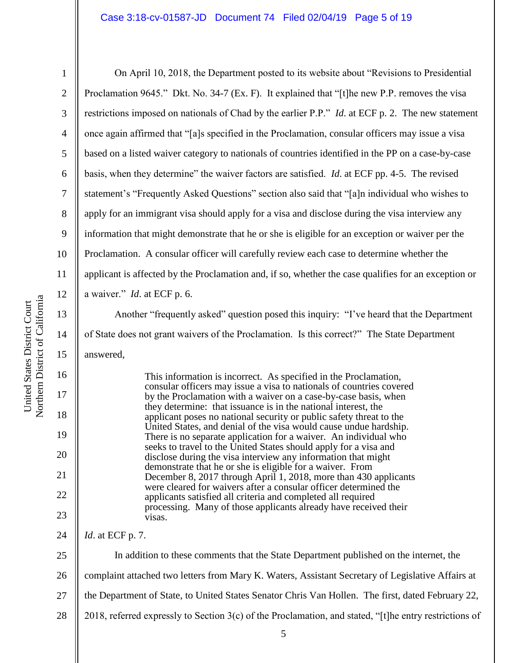1 2 3 4 5 6 7 8 9 10 11 12 13 14 15 16 17 18 19 20 21 On April 10, 2018, the Department posted to its website about "Revisions to Presidential Proclamation 9645." Dkt. No. 34-7 (Ex. F). It explained that "[t]he new P.P. removes the visa restrictions imposed on nationals of Chad by the earlier P.P." *Id*. at ECF p. 2. The new statement once again affirmed that "[a]s specified in the Proclamation, consular officers may issue a visa based on a listed waiver category to nationals of countries identified in the PP on a case-by-case basis, when they determine" the waiver factors are satisfied. *Id*. at ECF pp. 4-5. The revised statement's "Frequently Asked Questions" section also said that "[a]n individual who wishes to apply for an immigrant visa should apply for a visa and disclose during the visa interview any information that might demonstrate that he or she is eligible for an exception or waiver per the Proclamation. A consular officer will carefully review each case to determine whether the applicant is affected by the Proclamation and, if so, whether the case qualifies for an exception or a waiver." *Id*. at ECF p. 6. Another "frequently asked" question posed this inquiry: "I've heard that the Department of State does not grant waivers of the Proclamation. Is this correct?" The State Department answered, This information is incorrect. As specified in the Proclamation, consular officers may issue a visa to nationals of countries covered by the Proclamation with a waiver on a case-by-case basis, when they determine: that issuance is in the national interest, the applicant poses no national security or public safety threat to the United States, and denial of the visa would cause undue hardship. There is no separate application for a waiver. An individual who seeks to travel to the United States should apply for a visa and disclose during the visa interview any information that might demonstrate that he or she is eligible for a waiver. From December 8, 2017 through April 1, 2018, more than 430 applicants

were cleared for waivers after a consular officer determined the applicants satisfied all criteria and completed all required processing. Many of those applicants already have received their visas.

24 *Id*. at ECF p. 7.

22

23

25 26 27 28 In addition to these comments that the State Department published on the internet, the complaint attached two letters from Mary K. Waters, Assistant Secretary of Legislative Affairs at the Department of State, to United States Senator Chris Van Hollen. The first, dated February 22, 2018, referred expressly to Section 3(c) of the Proclamation, and stated, "[t]he entry restrictions of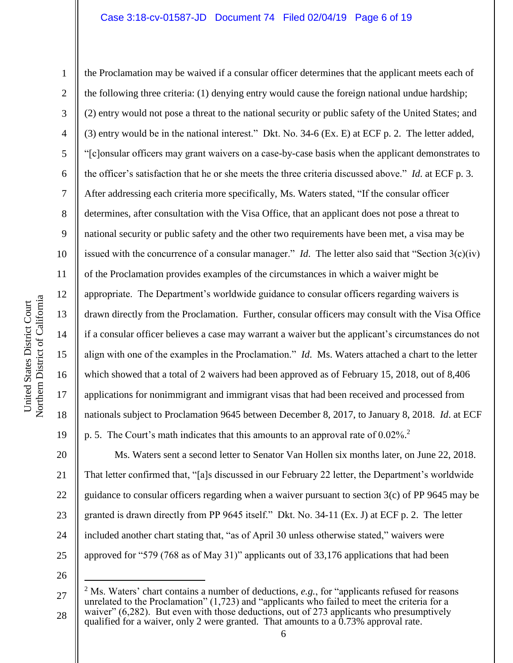10 11 12 Northern District of California Northern District of California 13 14 15 16 17

United States District Court

United States District Court

1

2

3

4

5

6

7

8

9

the Proclamation may be waived if a consular officer determines that the applicant meets each of the following three criteria: (1) denying entry would cause the foreign national undue hardship; (2) entry would not pose a threat to the national security or public safety of the United States; and (3) entry would be in the national interest." Dkt. No. 34-6 (Ex. E) at ECF p. 2. The letter added, "[c]onsular officers may grant waivers on a case-by-case basis when the applicant demonstrates to the officer's satisfaction that he or she meets the three criteria discussed above." *Id*. at ECF p. 3. After addressing each criteria more specifically, Ms. Waters stated, "If the consular officer determines, after consultation with the Visa Office, that an applicant does not pose a threat to national security or public safety and the other two requirements have been met, a visa may be issued with the concurrence of a consular manager." *Id*. The letter also said that "Section 3(c)(iv) of the Proclamation provides examples of the circumstances in which a waiver might be appropriate. The Department's worldwide guidance to consular officers regarding waivers is drawn directly from the Proclamation. Further, consular officers may consult with the Visa Office if a consular officer believes a case may warrant a waiver but the applicant's circumstances do not align with one of the examples in the Proclamation." *Id*. Ms. Waters attached a chart to the letter which showed that a total of 2 waivers had been approved as of February 15, 2018, out of 8,406 applications for nonimmigrant and immigrant visas that had been received and processed from nationals subject to Proclamation 9645 between December 8, 2017, to January 8, 2018. *Id*. at ECF p. 5. The Court's math indicates that this amounts to an approval rate of 0.02%. 2

20 21 22 23 24 25 Ms. Waters sent a second letter to Senator Van Hollen six months later, on June 22, 2018. That letter confirmed that, "[a]s discussed in our February 22 letter, the Department's worldwide guidance to consular officers regarding when a waiver pursuant to section 3(c) of PP 9645 may be granted is drawn directly from PP 9645 itself." Dkt. No. 34-11 (Ex. J) at ECF p. 2. The letter included another chart stating that, "as of April 30 unless otherwise stated," waivers were approved for "579 (768 as of May 31)" applicants out of 33,176 applications that had been

26

 $\overline{a}$ 

18

<sup>27</sup> 28 <sup>2</sup> Ms. Waters' chart contains a number of deductions, *e.g.*, for "applicants refused for reasons unrelated to the Proclamation" (1,723) and "applicants who failed to meet the criteria for a waiver" (6,282). But even with those deductions, out of 273 applicants who presumptively qualified for a waiver, only 2 were granted. That amounts to a  $0.73\%$  approval rate.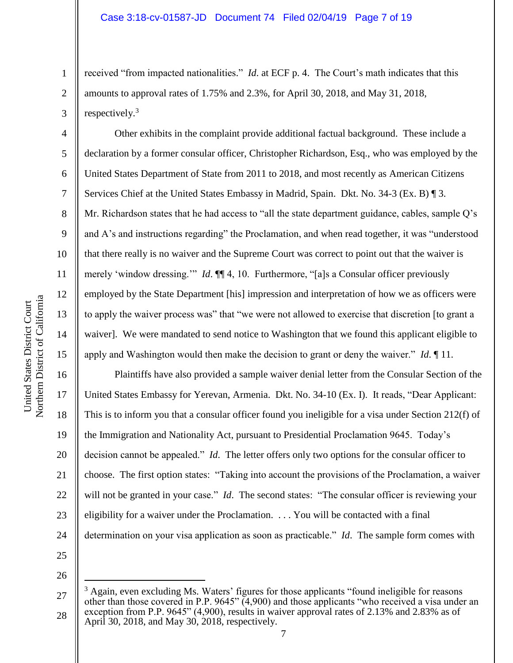received "from impacted nationalities." *Id*. at ECF p. 4. The Court's math indicates that this amounts to approval rates of 1.75% and 2.3%, for April 30, 2018, and May 31, 2018, respectively.<sup>3</sup>

Other exhibits in the complaint provide additional factual background. These include a declaration by a former consular officer, Christopher Richardson, Esq., who was employed by the United States Department of State from 2011 to 2018, and most recently as American Citizens Services Chief at the United States Embassy in Madrid, Spain. Dkt. No. 34-3 (Ex. B) ¶ 3. Mr. Richardson states that he had access to "all the state department guidance, cables, sample Q's and A's and instructions regarding" the Proclamation, and when read together, it was "understood that there really is no waiver and the Supreme Court was correct to point out that the waiver is merely 'window dressing.'" *Id*. **[14**, 10. Furthermore, "[a]s a Consular officer previously employed by the State Department [his] impression and interpretation of how we as officers were to apply the waiver process was" that "we were not allowed to exercise that discretion [to grant a waiver]. We were mandated to send notice to Washington that we found this applicant eligible to apply and Washington would then make the decision to grant or deny the waiver." *Id*. ¶ 11.

Plaintiffs have also provided a sample waiver denial letter from the Consular Section of the United States Embassy for Yerevan, Armenia. Dkt. No. 34-10 (Ex. I). It reads, "Dear Applicant: This is to inform you that a consular officer found you ineligible for a visa under Section 212(f) of the Immigration and Nationality Act, pursuant to Presidential Proclamation 9645. Today's decision cannot be appealed." *Id*. The letter offers only two options for the consular officer to choose. The first option states: "Taking into account the provisions of the Proclamation, a waiver will not be granted in your case." *Id*. The second states: "The consular officer is reviewing your eligibility for a waiver under the Proclamation. . . . You will be contacted with a final determination on your visa application as soon as practicable." *Id*. The sample form comes with

26

 $\overline{a}$ 

25

1

2

3

4

5

6

7

8

9

10

11

12

13

14

15

16

17

18

19

20

21

22

23

<sup>27</sup> 28 <sup>3</sup> Again, even excluding Ms. Waters' figures for those applicants "found ineligible for reasons other than those covered in P.P. 9645" (4,900) and those applicants "who received a visa under an exception from P.P. 9645" (4,900), results in waiver approval rates of 2.13% and 2.83% as of April 30, 2018, and May 30, 2018, respectively.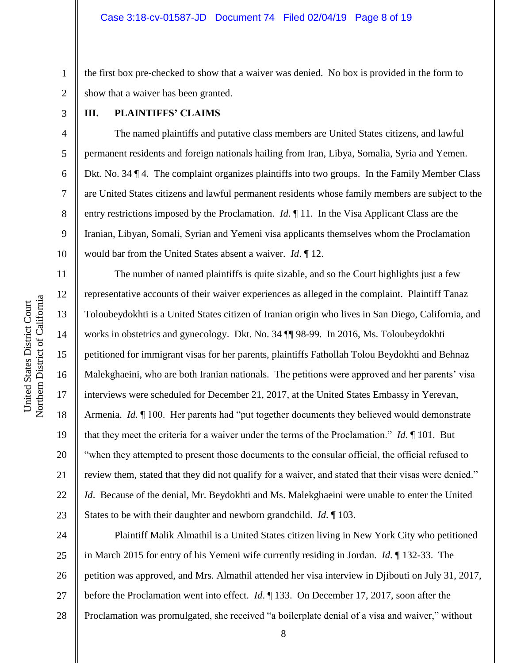1 2 the first box pre-checked to show that a waiver was denied. No box is provided in the form to show that a waiver has been granted.

3

4

5

6

7

8

9

10

11

12

13

14

15

16

17

18

19

20

21

22

23

### **III. PLAINTIFFS' CLAIMS**

The named plaintiffs and putative class members are United States citizens, and lawful permanent residents and foreign nationals hailing from Iran, Libya, Somalia, Syria and Yemen. Dkt. No. 34 ¶ 4. The complaint organizes plaintiffs into two groups. In the Family Member Class are United States citizens and lawful permanent residents whose family members are subject to the entry restrictions imposed by the Proclamation. *Id*. ¶ 11. In the Visa Applicant Class are the Iranian, Libyan, Somali, Syrian and Yemeni visa applicants themselves whom the Proclamation would bar from the United States absent a waiver. *Id*. ¶ 12.

The number of named plaintiffs is quite sizable, and so the Court highlights just a few representative accounts of their waiver experiences as alleged in the complaint. Plaintiff Tanaz Toloubeydokhti is a United States citizen of Iranian origin who lives in San Diego, California, and works in obstetrics and gynecology. Dkt. No. 34 ¶¶ 98-99. In 2016, Ms. Toloubeydokhti petitioned for immigrant visas for her parents, plaintiffs Fathollah Tolou Beydokhti and Behnaz Malekghaeini, who are both Iranian nationals. The petitions were approved and her parents' visa interviews were scheduled for December 21, 2017, at the United States Embassy in Yerevan, Armenia. *Id*. ¶ 100. Her parents had "put together documents they believed would demonstrate that they meet the criteria for a waiver under the terms of the Proclamation." *Id*. ¶ 101. But "when they attempted to present those documents to the consular official, the official refused to review them, stated that they did not qualify for a waiver, and stated that their visas were denied." *Id*. Because of the denial, Mr. Beydokhti and Ms. Malekghaeini were unable to enter the United States to be with their daughter and newborn grandchild. *Id*. ¶ 103.

24 25 26 27 28 Plaintiff Malik Almathil is a United States citizen living in New York City who petitioned in March 2015 for entry of his Yemeni wife currently residing in Jordan. *Id*. ¶ 132-33. The petition was approved, and Mrs. Almathil attended her visa interview in Djibouti on July 31, 2017, before the Proclamation went into effect. *Id*. ¶ 133. On December 17, 2017, soon after the Proclamation was promulgated, she received "a boilerplate denial of a visa and waiver," without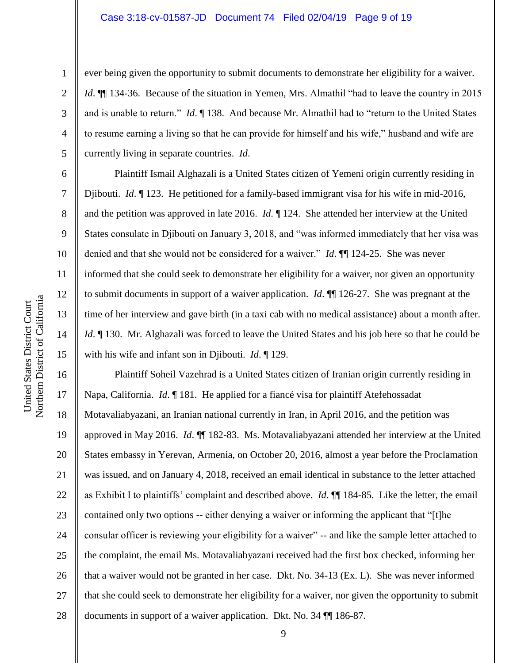#### Case 3:18-cv-01587-JD Document 74 Filed 02/04/19 Page 9 of 19

ever being given the opportunity to submit documents to demonstrate her eligibility for a waiver. *Id.*  $\mathbb{I}$  134-36. Because of the situation in Yemen, Mrs. Almathil "had to leave the country in 2015 and is unable to return." *Id*. ¶ 138. And because Mr. Almathil had to "return to the United States to resume earning a living so that he can provide for himself and his wife," husband and wife are currently living in separate countries. *Id*.

Plaintiff Ismail Alghazali is a United States citizen of Yemeni origin currently residing in Djibouti. *Id*. ¶ 123. He petitioned for a family-based immigrant visa for his wife in mid-2016, and the petition was approved in late 2016. *Id*. ¶ 124. She attended her interview at the United States consulate in Djibouti on January 3, 2018, and "was informed immediately that her visa was denied and that she would not be considered for a waiver." *Id*. ¶¶ 124-25. She was never informed that she could seek to demonstrate her eligibility for a waiver, nor given an opportunity to submit documents in support of a waiver application. *Id*. ¶¶ 126-27. She was pregnant at the time of her interview and gave birth (in a taxi cab with no medical assistance) about a month after. *Id*. ¶ 130. Mr. Alghazali was forced to leave the United States and his job here so that he could be with his wife and infant son in Djibouti. *Id*. ¶ 129.

16 17 18 19 20 21 22 23 24 25 26 27 28 Plaintiff Soheil Vazehrad is a United States citizen of Iranian origin currently residing in Napa, California. *Id*. ¶ 181. He applied for a fiancé visa for plaintiff Atefehossadat Motavaliabyazani, an Iranian national currently in Iran, in April 2016, and the petition was approved in May 2016. *Id*. ¶¶ 182-83. Ms. Motavaliabyazani attended her interview at the United States embassy in Yerevan, Armenia, on October 20, 2016, almost a year before the Proclamation was issued, and on January 4, 2018, received an email identical in substance to the letter attached as Exhibit I to plaintiffs' complaint and described above. *Id*. ¶¶ 184-85. Like the letter, the email contained only two options -- either denying a waiver or informing the applicant that "[t]he consular officer is reviewing your eligibility for a waiver" -- and like the sample letter attached to the complaint, the email Ms. Motavaliabyazani received had the first box checked, informing her that a waiver would not be granted in her case. Dkt. No. 34-13 (Ex. L). She was never informed that she could seek to demonstrate her eligibility for a waiver, nor given the opportunity to submit documents in support of a waiver application. Dkt. No. 34 ¶¶ 186-87.

1

2

3

4

5

6

7

8

9

10

11

12

13

14

15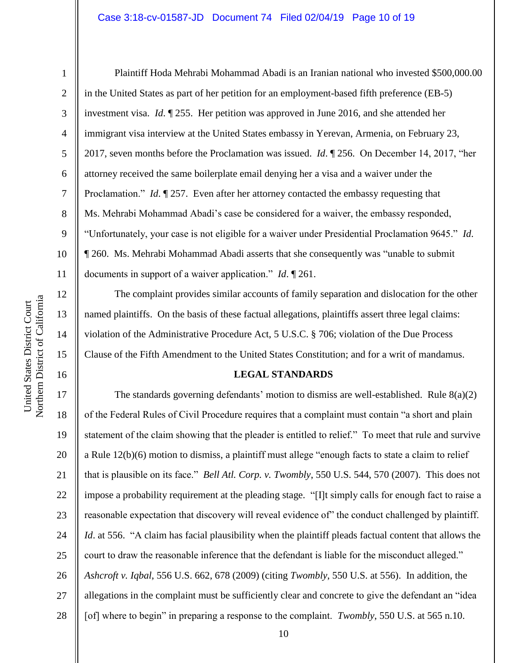1

2

3

5

8

9

11

12

13

14

15

16

4 6 7 10 Plaintiff Hoda Mehrabi Mohammad Abadi is an Iranian national who invested \$500,000.00 in the United States as part of her petition for an employment-based fifth preference (EB-5) investment visa. *Id*. ¶ 255. Her petition was approved in June 2016, and she attended her immigrant visa interview at the United States embassy in Yerevan, Armenia, on February 23, 2017, seven months before the Proclamation was issued. *Id*. ¶ 256. On December 14, 2017, "her attorney received the same boilerplate email denying her a visa and a waiver under the Proclamation." *Id*. 1257. Even after her attorney contacted the embassy requesting that Ms. Mehrabi Mohammad Abadi's case be considered for a waiver, the embassy responded, "Unfortunately, your case is not eligible for a waiver under Presidential Proclamation 9645." *Id*. ¶ 260. Ms. Mehrabi Mohammad Abadi asserts that she consequently was "unable to submit documents in support of a waiver application." *Id*. ¶ 261.

The complaint provides similar accounts of family separation and dislocation for the other named plaintiffs. On the basis of these factual allegations, plaintiffs assert three legal claims: violation of the Administrative Procedure Act, 5 U.S.C. § 706; violation of the Due Process Clause of the Fifth Amendment to the United States Constitution; and for a writ of mandamus.

#### **LEGAL STANDARDS**

17 18 19 20 21 22 23 24 25 26 27 28 The standards governing defendants' motion to dismiss are well-established. Rule  $8(a)(2)$ of the Federal Rules of Civil Procedure requires that a complaint must contain "a short and plain statement of the claim showing that the pleader is entitled to relief." To meet that rule and survive a Rule 12(b)(6) motion to dismiss, a plaintiff must allege "enough facts to state a claim to relief that is plausible on its face." *Bell Atl. Corp. v. Twombly*, 550 U.S. 544, 570 (2007). This does not impose a probability requirement at the pleading stage. "[I]t simply calls for enough fact to raise a reasonable expectation that discovery will reveal evidence of" the conduct challenged by plaintiff. *Id*. at 556. "A claim has facial plausibility when the plaintiff pleads factual content that allows the court to draw the reasonable inference that the defendant is liable for the misconduct alleged." *Ashcroft v. Iqbal*, 556 U.S. 662, 678 (2009) (citing *Twombly*, 550 U.S. at 556). In addition, the allegations in the complaint must be sufficiently clear and concrete to give the defendant an "idea [of] where to begin" in preparing a response to the complaint. *Twombly*, 550 U.S. at 565 n.10.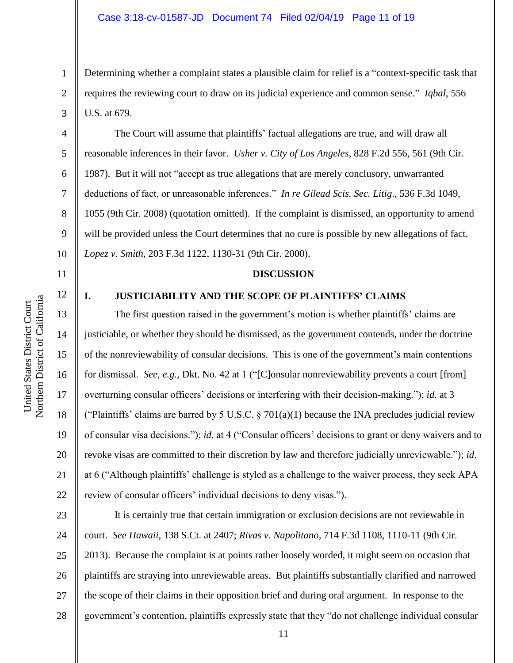Determining whether a complaint states a plausible claim for relief is a "context-specific task that requires the reviewing court to draw on its judicial experience and common sense." *Iqbal*, 556 U.S. at 679.

The Court will assume that plaintiffs' factual allegations are true, and will draw all reasonable inferences in their favor. *Usher v. City of Los Angeles*, 828 F.2d 556, 561 (9th Cir. 1987). But it will not "accept as true allegations that are merely conclusory, unwarranted deductions of fact, or unreasonable inferences." *In re Gilead Scis. Sec. Litig*., 536 F.3d 1049, 1055 (9th Cir. 2008) (quotation omitted). If the complaint is dismissed, an opportunity to amend will be provided unless the Court determines that no cure is possible by new allegations of fact. *Lopez v. Smith*, 203 F.3d 1122, 1130-31 (9th Cir. 2000).

**DISCUSSION**

# **I. JUSTICIABILITY AND THE SCOPE OF PLAINTIFFS' CLAIMS**

The first question raised in the government's motion is whether plaintiffs' claims are justiciable, or whether they should be dismissed, as the government contends, under the doctrine of the nonreviewability of consular decisions. This is one of the government's main contentions for dismissal. *See*, *e.g.*, Dkt. No. 42 at 1 ("[C]onsular nonreviewability prevents a court [from] overturning consular officers' decisions or interfering with their decision-making."); *id*. at 3 ("Plaintiffs' claims are barred by 5 U.S.C.  $\S$  701(a)(1) because the INA precludes judicial review of consular visa decisions."); *id*. at 4 ("Consular officers' decisions to grant or deny waivers and to revoke visas are committed to their discretion by law and therefore judicially unreviewable."); *id*. at 6 ("Although plaintiffs' challenge is styled as a challenge to the waiver process, they seek APA review of consular officers' individual decisions to deny visas.").

23 24 25 26 27 28 It is certainly true that certain immigration or exclusion decisions are not reviewable in court. *See Hawaii*, 138 S.Ct. at 2407; *Rivas v. Napolitano*, 714 F.3d 1108, 1110-11 (9th Cir. 2013). Because the complaint is at points rather loosely worded, it might seem on occasion that plaintiffs are straying into unreviewable areas. But plaintiffs substantially clarified and narrowed the scope of their claims in their opposition brief and during oral argument. In response to the government's contention, plaintiffs expressly state that they "do not challenge individual consular

1

2

3

4

5

6

7

8

9

10

11

12

13

14

15

16

17

18

19

20

21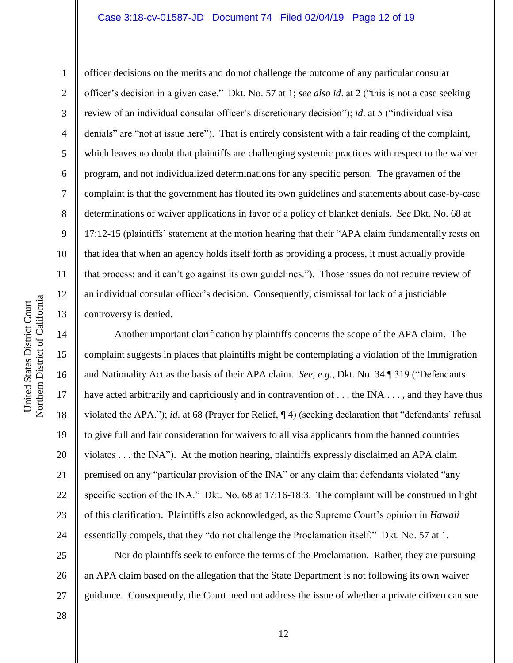#### Case 3:18-cv-01587-JD Document 74 Filed 02/04/19 Page 12 of 19

10 11 12 Northern District of California Northern District of California 13 14 15 16 17

United States District Court

United States District Court

1

2

3

4

5

6

7

8

9

18

19

21

officer decisions on the merits and do not challenge the outcome of any particular consular officer's decision in a given case." Dkt. No. 57 at 1; *see also id*. at 2 ("this is not a case seeking review of an individual consular officer's discretionary decision"); *id*. at 5 ("individual visa denials" are "not at issue here"). That is entirely consistent with a fair reading of the complaint, which leaves no doubt that plaintiffs are challenging systemic practices with respect to the waiver program, and not individualized determinations for any specific person. The gravamen of the complaint is that the government has flouted its own guidelines and statements about case-by-case determinations of waiver applications in favor of a policy of blanket denials. *See* Dkt. No. 68 at 17:12-15 (plaintiffs' statement at the motion hearing that their "APA claim fundamentally rests on that idea that when an agency holds itself forth as providing a process, it must actually provide that process; and it can't go against its own guidelines."). Those issues do not require review of an individual consular officer's decision. Consequently, dismissal for lack of a justiciable controversy is denied.

20 22 23 24 Another important clarification by plaintiffs concerns the scope of the APA claim. The complaint suggests in places that plaintiffs might be contemplating a violation of the Immigration and Nationality Act as the basis of their APA claim. *See*, *e.g.*, Dkt. No. 34 ¶ 319 ("Defendants have acted arbitrarily and capriciously and in contravention of . . . the INA . . . , and they have thus violated the APA."); *id*. at 68 (Prayer for Relief, ¶ 4) (seeking declaration that "defendants' refusal to give full and fair consideration for waivers to all visa applicants from the banned countries violates . . . the INA"). At the motion hearing, plaintiffs expressly disclaimed an APA claim premised on any "particular provision of the INA" or any claim that defendants violated "any specific section of the INA." Dkt. No. 68 at 17:16-18:3. The complaint will be construed in light of this clarification. Plaintiffs also acknowledged, as the Supreme Court's opinion in *Hawaii* essentially compels, that they "do not challenge the Proclamation itself." Dkt. No. 57 at 1.

25 26 27 Nor do plaintiffs seek to enforce the terms of the Proclamation. Rather, they are pursuing an APA claim based on the allegation that the State Department is not following its own waiver guidance. Consequently, the Court need not address the issue of whether a private citizen can sue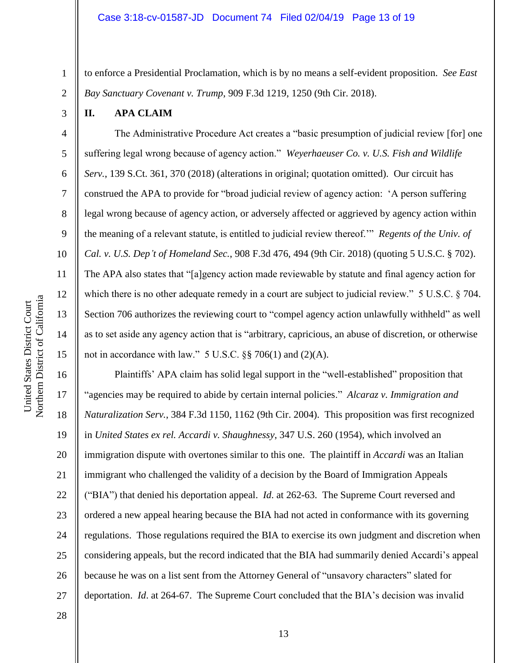to enforce a Presidential Proclamation, which is by no means a self-evident proposition. *See East Bay Sanctuary Covenant v. Trump*, 909 F.3d 1219, 1250 (9th Cir. 2018).

**II. APA CLAIM**

1

2

3

4

5

6

7

8

9

10

11

12

13

14

15

The Administrative Procedure Act creates a "basic presumption of judicial review [for] one suffering legal wrong because of agency action." *Weyerhaeuser Co. v. U.S. Fish and Wildlife Serv.*, 139 S.Ct. 361, 370 (2018) (alterations in original; quotation omitted). Our circuit has construed the APA to provide for "broad judicial review of agency action: 'A person suffering legal wrong because of agency action, or adversely affected or aggrieved by agency action within the meaning of a relevant statute, is entitled to judicial review thereof.'" *Regents of the Univ. of Cal. v. U.S. Dep't of Homeland Sec.*, 908 F.3d 476, 494 (9th Cir. 2018) (quoting 5 U.S.C. § 702). The APA also states that "[a]gency action made reviewable by statute and final agency action for which there is no other adequate remedy in a court are subject to judicial review." 5 U.S.C. § 704. Section 706 authorizes the reviewing court to "compel agency action unlawfully withheld" as well as to set aside any agency action that is "arbitrary, capricious, an abuse of discretion, or otherwise not in accordance with law."  $5 \text{ U.S.C.}$  §§ 706(1) and (2)(A).

16 17 18 19 20 21 22 23 24 25 26 27 Plaintiffs' APA claim has solid legal support in the "well-established" proposition that "agencies may be required to abide by certain internal policies." *Alcaraz v. Immigration and Naturalization Serv.*, 384 F.3d 1150, 1162 (9th Cir. 2004). This proposition was first recognized in *United States ex rel. Accardi v. Shaughnessy*, 347 U.S. 260 (1954), which involved an immigration dispute with overtones similar to this one. The plaintiff in *Accardi* was an Italian immigrant who challenged the validity of a decision by the Board of Immigration Appeals ("BIA") that denied his deportation appeal. *Id*. at 262-63. The Supreme Court reversed and ordered a new appeal hearing because the BIA had not acted in conformance with its governing regulations. Those regulations required the BIA to exercise its own judgment and discretion when considering appeals, but the record indicated that the BIA had summarily denied Accardi's appeal because he was on a list sent from the Attorney General of "unsavory characters" slated for deportation. *Id*. at 264-67. The Supreme Court concluded that the BIA's decision was invalid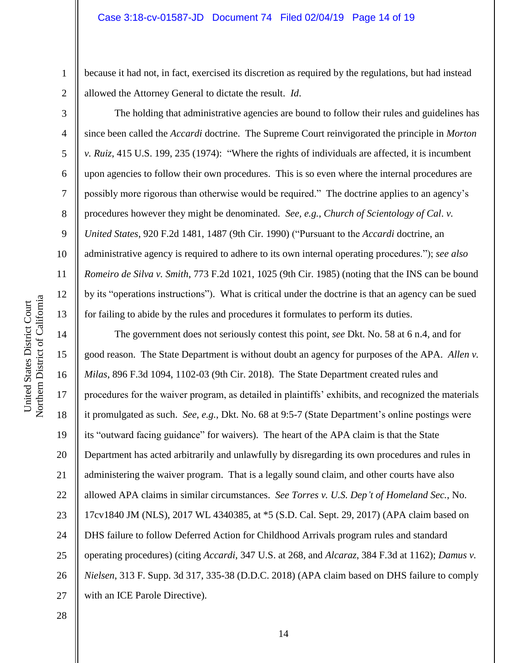# Case 3:18-cv-01587-JD Document 74 Filed 02/04/19 Page 14 of 19

because it had not, in fact, exercised its discretion as required by the regulations, but had instead allowed the Attorney General to dictate the result. *Id*.

The holding that administrative agencies are bound to follow their rules and guidelines has since been called the *Accardi* doctrine. The Supreme Court reinvigorated the principle in *Morton v. Ruiz*, 415 U.S. 199, 235 (1974): "Where the rights of individuals are affected, it is incumbent upon agencies to follow their own procedures. This is so even where the internal procedures are possibly more rigorous than otherwise would be required." The doctrine applies to an agency's procedures however they might be denominated. *See, e.g.*, *Church of Scientology of Cal*. *v. United States*, 920 F.2d 1481, 1487 (9th Cir. 1990) ("Pursuant to the *Accardi* doctrine, an administrative agency is required to adhere to its own internal operating procedures."); *see also Romeiro de Silva v. Smith*, 773 F.2d 1021, 1025 (9th Cir. 1985) (noting that the INS can be bound by its "operations instructions"). What is critical under the doctrine is that an agency can be sued for failing to abide by the rules and procedures it formulates to perform its duties.

14 15 16 17 18 19 20 21 22 23 24 25 26 27 The government does not seriously contest this point, *see* Dkt. No. 58 at 6 n.4, and for good reason. The State Department is without doubt an agency for purposes of the APA. *Allen v. Milas*, 896 F.3d 1094, 1102-03 (9th Cir. 2018). The State Department created rules and procedures for the waiver program, as detailed in plaintiffs' exhibits, and recognized the materials it promulgated as such. *See*, *e.g.*, Dkt. No. 68 at 9:5-7 (State Department's online postings were its "outward facing guidance" for waivers). The heart of the APA claim is that the State Department has acted arbitrarily and unlawfully by disregarding its own procedures and rules in administering the waiver program. That is a legally sound claim, and other courts have also allowed APA claims in similar circumstances. *See Torres v. U.S. Dep't of Homeland Sec.*, No. 17cv1840 JM (NLS), 2017 WL 4340385, at \*5 (S.D. Cal. Sept. 29, 2017) (APA claim based on DHS failure to follow Deferred Action for Childhood Arrivals program rules and standard operating procedures) (citing *Accardi*, 347 U.S. at 268, and *Alcaraz*, 384 F.3d at 1162); *Damus v. Nielsen*, 313 F. Supp. 3d 317, 335-38 (D.D.C. 2018) (APA claim based on DHS failure to comply with an ICE Parole Directive).

1

2

3

4

5

6

7

8

9

10

11

12

13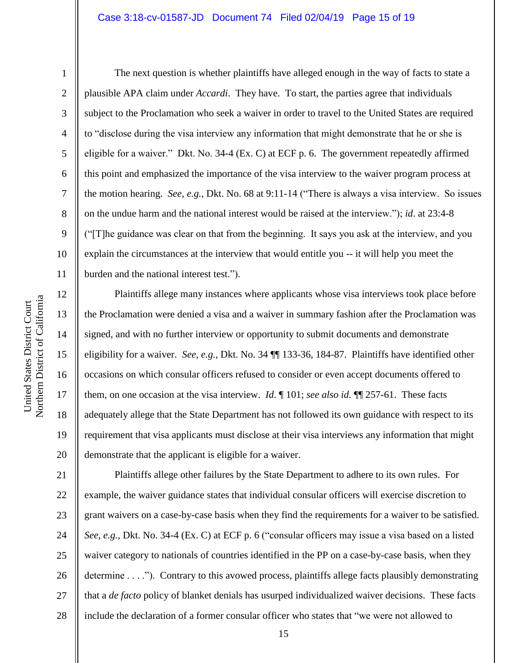#### Case 3:18-cv-01587-JD Document 74 Filed 02/04/19 Page 15 of 19

1

2

3

4

5

6

7

8

9

10

11

12

13

14

15

16

17

18

19

20

The next question is whether plaintiffs have alleged enough in the way of facts to state a plausible APA claim under *Accardi*. They have. To start, the parties agree that individuals subject to the Proclamation who seek a waiver in order to travel to the United States are required to "disclose during the visa interview any information that might demonstrate that he or she is eligible for a waiver." Dkt. No. 34-4 (Ex. C) at ECF p. 6. The government repeatedly affirmed this point and emphasized the importance of the visa interview to the waiver program process at the motion hearing. *See*, *e.g.*, Dkt. No. 68 at 9:11-14 ("There is always a visa interview. So issues on the undue harm and the national interest would be raised at the interview."); *id*. at 23:4-8 ("[T]he guidance was clear on that from the beginning. It says you ask at the interview, and you explain the circumstances at the interview that would entitle you -- it will help you meet the burden and the national interest test.").

Plaintiffs allege many instances where applicants whose visa interviews took place before the Proclamation were denied a visa and a waiver in summary fashion after the Proclamation was signed, and with no further interview or opportunity to submit documents and demonstrate eligibility for a waiver. *See*, *e.g.*, Dkt. No. 34 ¶¶ 133-36, 184-87. Plaintiffs have identified other occasions on which consular officers refused to consider or even accept documents offered to them, on one occasion at the visa interview. *Id*. ¶ 101; *see also id*. ¶¶ 257-61. These facts adequately allege that the State Department has not followed its own guidance with respect to its requirement that visa applicants must disclose at their visa interviews any information that might demonstrate that the applicant is eligible for a waiver.

21 22 23 24 25 26 27 28 Plaintiffs allege other failures by the State Department to adhere to its own rules. For example, the waiver guidance states that individual consular officers will exercise discretion to grant waivers on a case-by-case basis when they find the requirements for a waiver to be satisfied. *See*, *e.g.*, Dkt. No. 34-4 (Ex. C) at ECF p. 6 ("consular officers may issue a visa based on a listed waiver category to nationals of countries identified in the PP on a case-by-case basis, when they determine . . . ."). Contrary to this avowed process, plaintiffs allege facts plausibly demonstrating that a *de facto* policy of blanket denials has usurped individualized waiver decisions. These facts include the declaration of a former consular officer who states that "we were not allowed to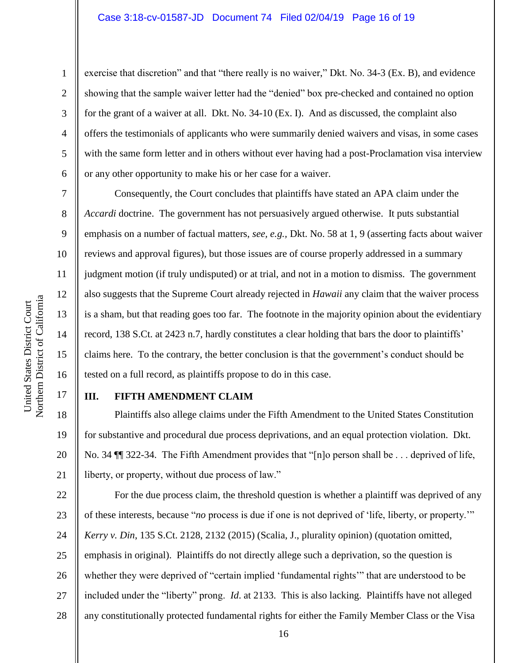exercise that discretion" and that "there really is no waiver," Dkt. No. 34-3 (Ex. B), and evidence showing that the sample waiver letter had the "denied" box pre-checked and contained no option for the grant of a waiver at all. Dkt. No. 34-10 (Ex. I). And as discussed, the complaint also offers the testimonials of applicants who were summarily denied waivers and visas, in some cases with the same form letter and in others without ever having had a post-Proclamation visa interview or any other opportunity to make his or her case for a waiver.

Consequently, the Court concludes that plaintiffs have stated an APA claim under the *Accardi* doctrine. The government has not persuasively argued otherwise. It puts substantial emphasis on a number of factual matters, *see, e.g.,* Dkt. No. 58 at 1, 9 (asserting facts about waiver reviews and approval figures), but those issues are of course properly addressed in a summary judgment motion (if truly undisputed) or at trial, and not in a motion to dismiss. The government also suggests that the Supreme Court already rejected in *Hawaii* any claim that the waiver process is a sham, but that reading goes too far. The footnote in the majority opinion about the evidentiary record, 138 S.Ct. at 2423 n.7, hardly constitutes a clear holding that bars the door to plaintiffs' claims here. To the contrary, the better conclusion is that the government's conduct should be tested on a full record, as plaintiffs propose to do in this case.

# 17

18

19

21

1

2

3

4

5

6

7

8

9

10

11

12

13

14

15

16

# **III. FIFTH AMENDMENT CLAIM**

20 Plaintiffs also allege claims under the Fifth Amendment to the United States Constitution for substantive and procedural due process deprivations, and an equal protection violation. Dkt. No. 34 ¶¶ 322-34. The Fifth Amendment provides that "[n]o person shall be . . . deprived of life, liberty, or property, without due process of law."

22 23 24 25 26 27 28 For the due process claim, the threshold question is whether a plaintiff was deprived of any of these interests, because "*no* process is due if one is not deprived of 'life, liberty, or property.'" *Kerry v. Din*, 135 S.Ct. 2128, 2132 (2015) (Scalia, J., plurality opinion) (quotation omitted, emphasis in original). Plaintiffs do not directly allege such a deprivation, so the question is whether they were deprived of "certain implied 'fundamental rights'" that are understood to be included under the "liberty" prong. *Id*. at 2133. This is also lacking. Plaintiffs have not alleged any constitutionally protected fundamental rights for either the Family Member Class or the Visa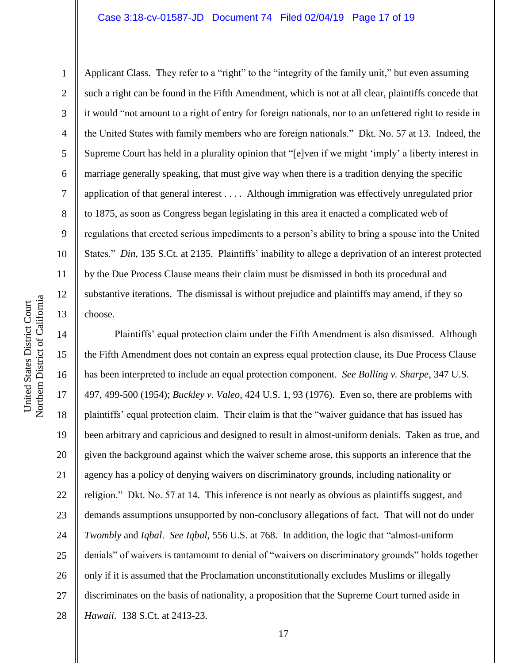#### Case 3:18-cv-01587-JD Document 74 Filed 02/04/19 Page 17 of 19

10 11 12 Northern District of California Northern District of California United States District Court United States District Court 13

1

2 3 4 5 6 7 8 9 Applicant Class. They refer to a "right" to the "integrity of the family unit," but even assuming such a right can be found in the Fifth Amendment, which is not at all clear, plaintiffs concede that it would "not amount to a right of entry for foreign nationals, nor to an unfettered right to reside in the United States with family members who are foreign nationals." Dkt. No. 57 at 13. Indeed, the Supreme Court has held in a plurality opinion that "[e]ven if we might 'imply' a liberty interest in marriage generally speaking, that must give way when there is a tradition denying the specific application of that general interest . . . . Although immigration was effectively unregulated prior to 1875, as soon as Congress began legislating in this area it enacted a complicated web of regulations that erected serious impediments to a person's ability to bring a spouse into the United States." *Din*, 135 S.Ct. at 2135. Plaintiffs' inability to allege a deprivation of an interest protected by the Due Process Clause means their claim must be dismissed in both its procedural and substantive iterations. The dismissal is without prejudice and plaintiffs may amend, if they so choose.

14 15 16 17 18 19 20 21 22 23 24 25 26 27 28 Plaintiffs' equal protection claim under the Fifth Amendment is also dismissed. Although the Fifth Amendment does not contain an express equal protection clause, its Due Process Clause has been interpreted to include an equal protection component. *See Bolling v. Sharpe*, 347 U.S. 497, 499-500 (1954); *Buckley v. Valeo*, 424 U.S. 1, 93 (1976). Even so, there are problems with plaintiffs' equal protection claim. Their claim is that the "waiver guidance that has issued has been arbitrary and capricious and designed to result in almost-uniform denials. Taken as true, and given the background against which the waiver scheme arose, this supports an inference that the agency has a policy of denying waivers on discriminatory grounds, including nationality or religion." Dkt. No. 57 at 14. This inference is not nearly as obvious as plaintiffs suggest, and demands assumptions unsupported by non-conclusory allegations of fact. That will not do under *Twombly* and *Iqbal*. *See Iqbal*, 556 U.S. at 768. In addition, the logic that "almost-uniform denials" of waivers is tantamount to denial of "waivers on discriminatory grounds" holds together only if it is assumed that the Proclamation unconstitutionally excludes Muslims or illegally discriminates on the basis of nationality, a proposition that the Supreme Court turned aside in *Hawaii*. 138 S.Ct. at 2413-23.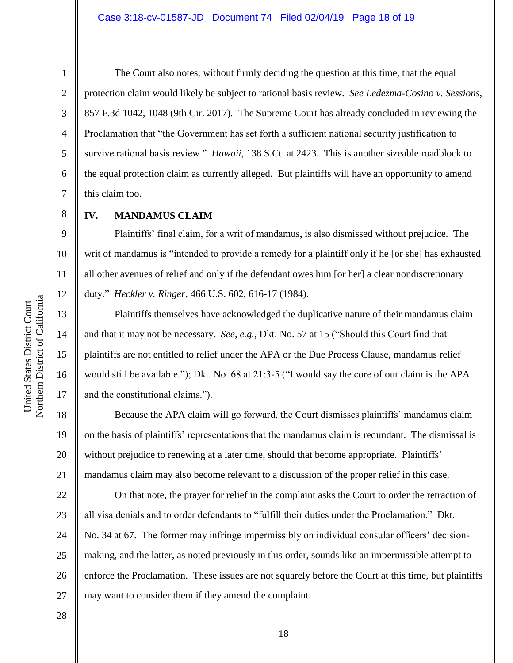6

7

8

9

10

11

12

13

14

15

16

17

18

19

20

21

1

The Court also notes, without firmly deciding the question at this time, that the equal protection claim would likely be subject to rational basis review. *See Ledezma-Cosino v. Sessions*, 857 F.3d 1042, 1048 (9th Cir. 2017). The Supreme Court has already concluded in reviewing the Proclamation that "the Government has set forth a sufficient national security justification to survive rational basis review." *Hawaii*, 138 S.Ct. at 2423. This is another sizeable roadblock to the equal protection claim as currently alleged. But plaintiffs will have an opportunity to amend this claim too.

**IV. MANDAMUS CLAIM**

Plaintiffs' final claim, for a writ of mandamus, is also dismissed without prejudice. The writ of mandamus is "intended to provide a remedy for a plaintiff only if he [or she] has exhausted all other avenues of relief and only if the defendant owes him [or her] a clear nondiscretionary duty." *Heckler v. Ringer*, 466 U.S. 602, 616-17 (1984).

Plaintiffs themselves have acknowledged the duplicative nature of their mandamus claim and that it may not be necessary. *See*, *e.g.*, Dkt. No. 57 at 15 ("Should this Court find that plaintiffs are not entitled to relief under the APA or the Due Process Clause, mandamus relief would still be available."); Dkt. No. 68 at 21:3-5 ("I would say the core of our claim is the APA and the constitutional claims.").

Because the APA claim will go forward, the Court dismisses plaintiffs' mandamus claim on the basis of plaintiffs' representations that the mandamus claim is redundant. The dismissal is without prejudice to renewing at a later time, should that become appropriate. Plaintiffs' mandamus claim may also become relevant to a discussion of the proper relief in this case.

22 23 24 25 26 27 On that note, the prayer for relief in the complaint asks the Court to order the retraction of all visa denials and to order defendants to "fulfill their duties under the Proclamation." Dkt. No. 34 at 67. The former may infringe impermissibly on individual consular officers' decisionmaking, and the latter, as noted previously in this order, sounds like an impermissible attempt to enforce the Proclamation. These issues are not squarely before the Court at this time, but plaintiffs may want to consider them if they amend the complaint.

Northern District of California Northern District of California United States District Court United States District Court